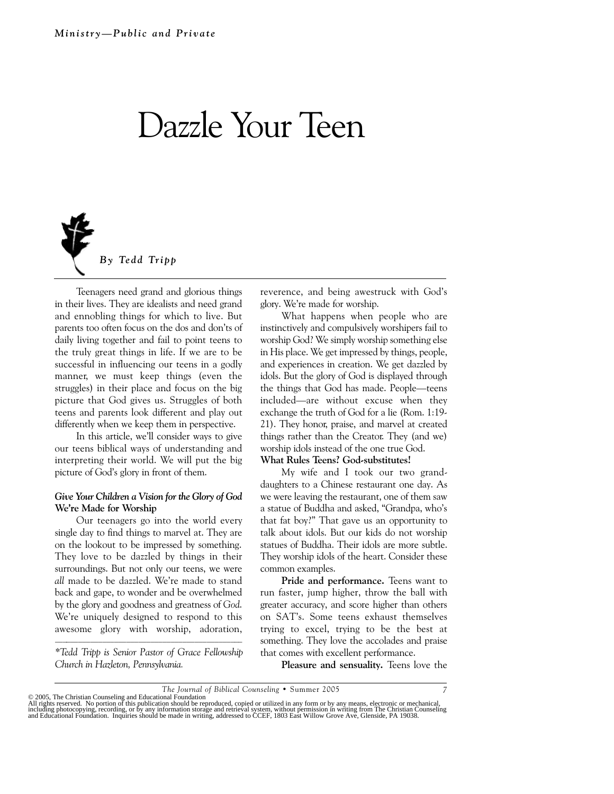# Dazzle Your Teen



Teenagers need grand and glorious things in their lives. They are idealists and need grand and ennobling things for which to live. But parents too often focus on the dos and don'ts of daily living together and fail to point teens to the truly great things in life. If we are to be successful in influencing our teens in a godly manner, we must keep things (even the struggles) in their place and focus on the big picture that God gives us. Struggles of both teens and parents look different and play out differently when we keep them in perspective.

In this article, we'll consider ways to give our teens biblical ways of understanding and interpreting their world. We will put the big picture of God's glory in front of them.

#### *Give Your Children a Vision for the Glory of God* **We're Made for Worship**

Our teenagers go into the world every single day to find things to marvel at. They are on the lookout to be impressed by something. They love to be dazzled by things in their surroundings. But not only our teens, we were *all* made to be dazzled. We're made to stand back and gape, to wonder and be overwhelmed by the glory and goodness and greatness of *God*. We're uniquely designed to respond to this awesome glory with worship, adoration,  $\mathcal{L}_\text{max}$  and the contract of the contract of the contract of the contract of the contract of the contract of the contract of the contract of the contract of the contract of the contract of the contract of the contrac

*\*Tedd Tripp is Senior Pastor of Grace Fellowship Church in Hazleton, Pennsylvania.*

reverence, and being awestruck with God's glory. We're made for worship.

What happens when people who are instinctively and compulsively worshipers fail to worship God? We simply worship something else in His place. We get impressed by things, people, and experiences in creation. We get dazzled by idols. But the glory of God is displayed through the things that God has made. People—teens included—are without excuse when they exchange the truth of God for a lie (Rom. 1:19- 21). They honor, praise, and marvel at created things rather than the Creator. They (and we) worship idols instead of the one true God.

#### **What Rules Teens? God-substitutes!**

My wife and I took our two granddaughters to a Chinese restaurant one day. As we were leaving the restaurant, one of them saw a statue of Buddha and asked, "Grandpa, who's that fat boy?" That gave us an opportunity to talk about idols. But our kids do not worship statues of Buddha. Their idols are more subtle. They worship idols of the heart. Consider these common examples.

**Pride and performance.** Teens want to run faster, jump higher, throw the ball with greater accuracy, and score higher than others on SAT's. Some teens exhaust themselves trying to excel, trying to be the best at something. They love the accolades and praise that comes with excellent performance.

**Pleasure and sensuality.** Teens love the

© 2005, The Christian Counseling and Educational Foundation<br>All rights reserved. No portion of this publication should be reproduced, copied or utilized in any form or by any means, electronic or mechanical,<br>including phot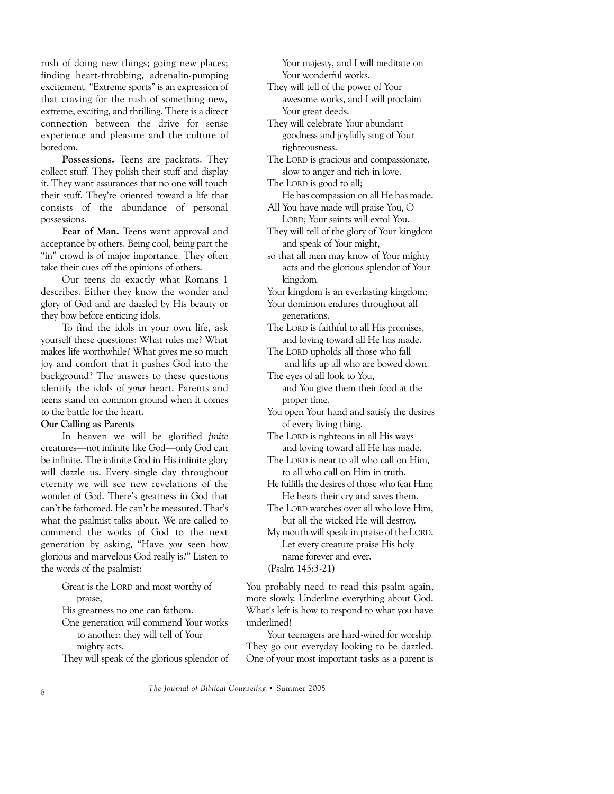rush of doing new things; going new places; finding heart-throbbing, adrenalin-pumping excitement. "Extreme sports" is an expression of that craving for the rush of something new, extreme, exciting, and thrilling. There is a direct connection between the drive for sense experience and pleasure and the culture of boredom.

**Possessions.** Teens are packrats. They collect stuff. They polish their stuff and display it. They want assurances that no one will touch their stuff. They're oriented toward a life that consists of the abundance of personal possessions.

**Fear of Man.** Teens want approval and acceptance by others. Being cool, being part the "in" crowd is of major importance. They often take their cues off the opinions of others.

Our teens do exactly what Romans 1 describes. Either they know the wonder and glory of God and are dazzled by His beauty or they bow before enticing idols.

To find the idols in your own life, ask yourself these questions: What rules me? What makes life worthwhile? What gives me so much joy and comfort that it pushes God into the background? The answers to these questions identify the idols of *your* heart. Parents and teens stand on common ground when it comes to the battle for the heart.

## **Our Calling as Parents**

In heaven we will be glorified *finite* creatures—not infinite like God—only God can be infinite. The infinite God in His infinite glory will dazzle us. Every single day throughout eternity we will see new revelations of the wonder of God. There's greatness in God that can't be fathomed. He can't be measured. That's what the psalmist talks about. We are called to commend the works of God to the next generation by asking, "Have *you* seen how glorious and marvelous God really is?" Listen to the words of the psalmist:

> Great is the LORD and most worthy of praise;

His greatness no one can fathom.

One generation will commend Your works to another; they will tell of Your mighty acts.

They will speak of the glorious splendor of

Your majesty, and I will meditate on Your wonderful works.

They will tell of the power of Your awesome works, and I will proclaim Your great deeds.

They will celebrate Your abundant goodness and joyfully sing of Your righteousness.

The LORD is gracious and compassionate, slow to anger and rich in love.

The LORD is good to all: He has compassion on all He has made.

All You have made will praise You, O LORD; Your saints will extol You.

They will tell of the glory of Your kingdom and speak of Your might,

so that all men may know of Your mighty acts and the glorious splendor of Your kingdom.

Your kingdom is an everlasting kingdom;

Your dominion endures throughout all generations.

The LORD is faithful to all His promises, and loving toward all He has made.

The LORD upholds all those who fall and lifts up all who are bowed down.

The eyes of all look to You, and You give them their food at the proper time.

You open Your hand and satisfy the desires of every living thing.

The LORD is righteous in all His ways and loving toward all He has made.

- The LORD is near to all who call on Him, to all who call on Him in truth.
- He fulfills the desires of those who fear Him; He hears their cry and saves them.
- The LORD watches over all who love Him, but all the wicked He will destroy.
- My mouth will speak in praise of the LORD. Let every creature praise His holy name forever and ever.

(Psalm 145:3-21)

You probably need to read this psalm again, more slowly. Underline everything about God. What's left is how to respond to what you have underlined!

Your teenagers are hard-wired for worship. They go out everyday looking to be dazzled. One of your most important tasks as a parent is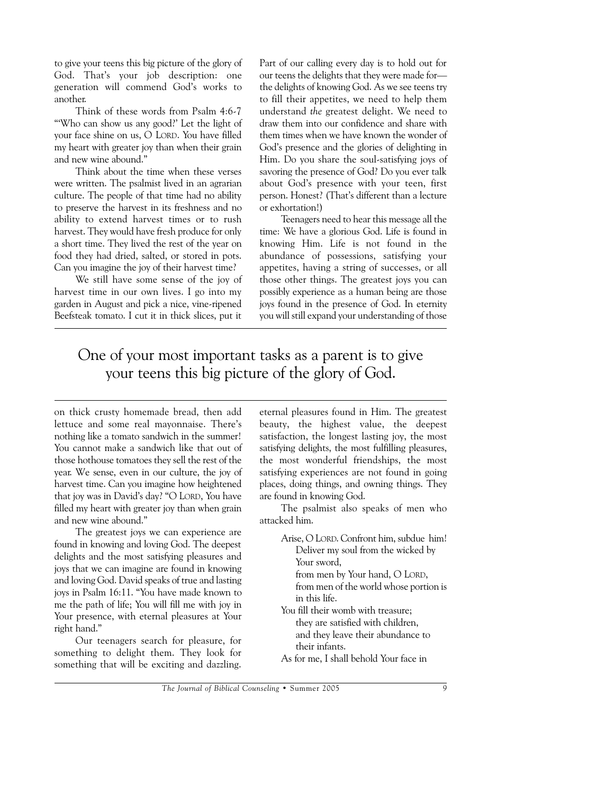to give your teens this big picture of the glory of God. That's your job description: one generation will commend God's works to another.

Think of these words from Psalm 4:6-7 "'Who can show us any good?' Let the light of your face shine on us, O LORD. You have filled my heart with greater joy than when their grain and new wine abound."

Think about the time when these verses were written. The psalmist lived in an agrarian culture. The people of that time had no ability to preserve the harvest in its freshness and no ability to extend harvest times or to rush harvest. They would have fresh produce for only a short time. They lived the rest of the year on food they had dried, salted, or stored in pots. Can you imagine the joy of their harvest time?

We still have some sense of the joy of harvest time in our own lives. I go into my garden in August and pick a nice, vine-ripened Beefsteak tomato. I cut it in thick slices, put it

Part of our calling every day is to hold out for our teens the delights that they were made for the delights of knowing God. As we see teens try to fill their appetites, we need to help them understand *the* greatest delight. We need to draw them into our confidence and share with them times when we have known the wonder of God's presence and the glories of delighting in Him. Do you share the soul-satisfying joys of savoring the presence of God? Do you ever talk about God's presence with your teen, first person. Honest? (That's different than a lecture or exhortation!)

Teenagers need to hear this message all the time: We have a glorious God. Life is found in knowing Him. Life is not found in the abundance of possessions, satisfying your appetites, having a string of successes, or all those other things. The greatest joys you can possibly experience as a human being are those joys found in the presence of God. In eternity you will still expand your understanding of those

## One of your most important tasks as a parent is to give your teens this big picture of the glory of God.

on thick crusty homemade bread, then add lettuce and some real mayonnaise. There's nothing like a tomato sandwich in the summer! You cannot make a sandwich like that out of those hothouse tomatoes they sell the rest of the year. We sense, even in our culture, the joy of harvest time. Can you imagine how heightened that joy was in David's day? "O LORD, You have filled my heart with greater joy than when grain and new wine abound."

The greatest joys we can experience are found in knowing and loving God. The deepest delights and the most satisfying pleasures and joys that we can imagine are found in knowing and loving God. David speaks of true and lasting joys in Psalm 16:11. "You have made known to me the path of life; You will fill me with joy in Your presence, with eternal pleasures at Your right hand."

Our teenagers search for pleasure, for something to delight them. They look for something that will be exciting and dazzling. eternal pleasures found in Him. The greatest beauty, the highest value, the deepest satisfaction, the longest lasting joy, the most satisfying delights, the most fulfilling pleasures, the most wonderful friendships, the most satisfying experiences are not found in going places, doing things, and owning things. They are found in knowing God.

The psalmist also speaks of men who attacked him.

> Arise, O LORD. Confront him, subdue him! Deliver my soul from the wicked by Your sword. from men by Your hand, O LORD,

from men of the world whose portion is in this life.

- You fill their womb with treasure; they are satisfied with children, and they leave their abundance to their infants.
- As for me, I shall behold Your face in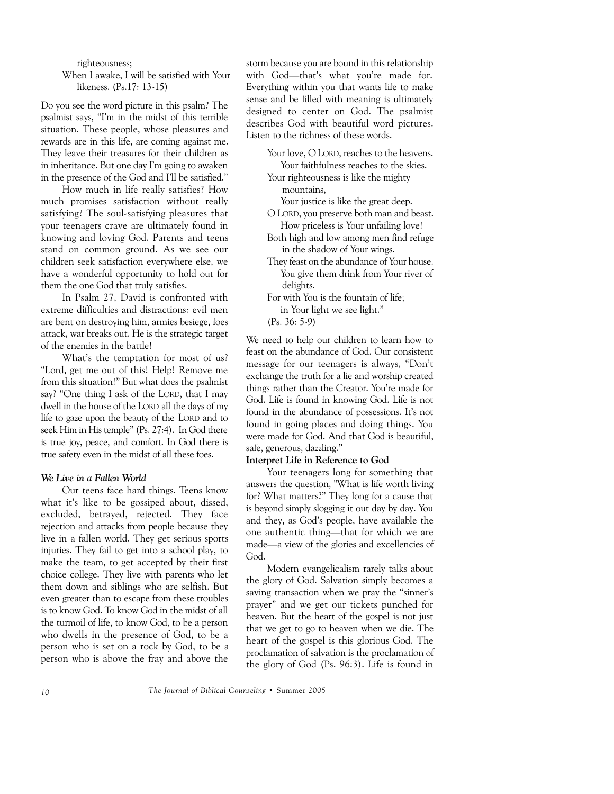righteousness;

When I awake, I will be satisfied with Your likeness. (Ps.17: 13-15)

Do you see the word picture in this psalm? The psalmist says, "I'm in the midst of this terrible situation. These people, whose pleasures and rewards are in this life, are coming against me. They leave their treasures for their children as in inheritance. But one day I'm going to awaken in the presence of the God and I'll be satisfied."

How much in life really satisfies? How much promises satisfaction without really satisfying? The soul-satisfying pleasures that your teenagers crave are ultimately found in knowing and loving God. Parents and teens stand on common ground. As we see our children seek satisfaction everywhere else, we have a wonderful opportunity to hold out for them the one God that truly satisfies.

In Psalm 27, David is confronted with extreme difficulties and distractions: evil men are bent on destroying him, armies besiege, foes attack, war breaks out. He is the strategic target of the enemies in the battle!

What's the temptation for most of us? "Lord, get me out of this! Help! Remove me from this situation!" But what does the psalmist say? "One thing I ask of the LORD, that I may dwell in the house of the LORD all the days of my life to gaze upon the beauty of the LORD and to seek Him in His temple" (Ps. 27:4). In God there is true joy, peace, and comfort. In God there is true safety even in the midst of all these foes.

## *We Live in a Fallen World*

Our teens face hard things. Teens know what it's like to be gossiped about, dissed, excluded, betrayed, rejected. They face rejection and attacks from people because they live in a fallen world. They get serious sports injuries. They fail to get into a school play, to make the team, to get accepted by their first choice college. They live with parents who let them down and siblings who are selfish. But even greater than to escape from these troubles is to know God. To know God in the midst of all the turmoil of life, to know God, to be a person who dwells in the presence of God, to be a person who is set on a rock by God, to be a person who is above the fray and above the storm because you are bound in this relationship with God—that's what you're made for. Everything within you that wants life to make sense and be filled with meaning is ultimately designed to center on God. The psalmist describes God with beautiful word pictures. Listen to the richness of these words.

> Your love, O LORD, reaches to the heavens. Your faithfulness reaches to the skies.

Your righteousness is like the mighty mountains,

Your justice is like the great deep.

- O LORD, you preserve both man and beast. How priceless is Your unfailing love!
- Both high and low among men find refuge in the shadow of Your wings.
- They feast on the abundance of Your house. You give them drink from Your river of delights.
- For with You is the fountain of life; in Your light we see light." (Ps. 36: 5-9)

We need to help our children to learn how to feast on the abundance of God. Our consistent message for our teenagers is always, "Don't exchange the truth for a lie and worship created things rather than the Creator. You're made for God. Life is found in knowing God. Life is not found in the abundance of possessions. It's not found in going places and doing things. You were made for God. And that God is beautiful, safe, generous, dazzling."

## **Interpret Life in Reference to God**

Your teenagers long for something that answers the question, "What is life worth living for? What matters?" They long for a cause that is beyond simply slogging it out day by day. You and they, as God's people, have available the one authentic thing—that for which we are made—a view of the glories and excellencies of God.

Modern evangelicalism rarely talks about the glory of God. Salvation simply becomes a saving transaction when we pray the "sinner's prayer" and we get our tickets punched for heaven. But the heart of the gospel is not just that we get to go to heaven when we die. The heart of the gospel is this glorious God. The proclamation of salvation is the proclamation of the glory of God (Ps. 96:3). Life is found in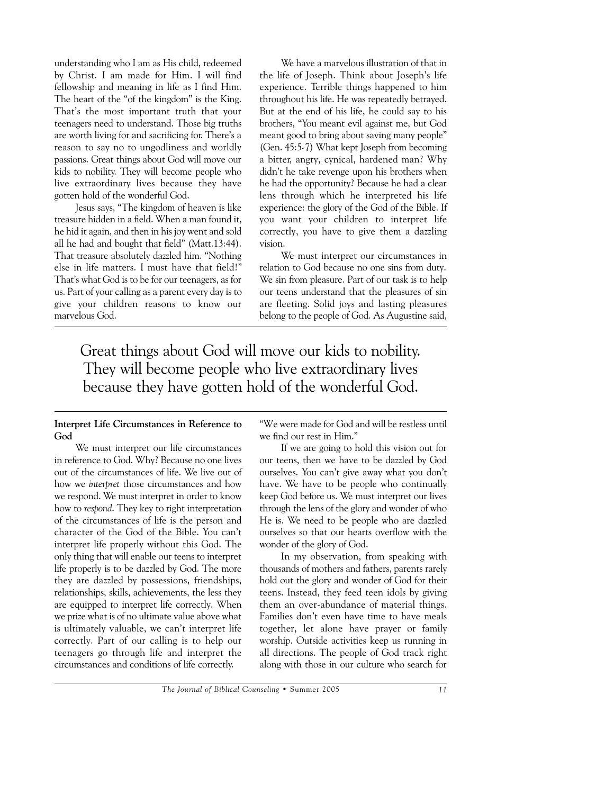understanding who I am as His child, redeemed by Christ. I am made for Him. I will find fellowship and meaning in life as I find Him. The heart of the "of the kingdom" is the King. That's the most important truth that your teenagers need to understand. Those big truths are worth living for and sacrificing for. There's a reason to say no to ungodliness and worldly passions. Great things about God will move our kids to nobility. They will become people who live extraordinary lives because they have gotten hold of the wonderful God.

Jesus says, "The kingdom of heaven is like treasure hidden in a field. When a man found it, he hid it again, and then in his joy went and sold all he had and bought that field" (Matt.13:44). That treasure absolutely dazzled him. "Nothing else in life matters. I must have that field!" That's what God is to be for our teenagers, as for us. Part of your calling as a parent every day is to give your children reasons to know our marvelous God.

We have a marvelous illustration of that in the life of Joseph. Think about Joseph's life experience. Terrible things happened to him throughout his life. He was repeatedly betrayed. But at the end of his life, he could say to his brothers, "You meant evil against me, but God meant good to bring about saving many people" (Gen. 45:5-7) What kept Joseph from becoming a bitter, angry, cynical, hardened man? Why didn't he take revenge upon his brothers when he had the opportunity? Because he had a clear lens through which he interpreted his life experience: the glory of the God of the Bible. If you want your children to interpret life correctly, you have to give them a dazzling vision.

We must interpret our circumstances in relation to God because no one sins from duty. We sin from pleasure. Part of our task is to help our teens understand that the pleasures of sin are fleeting. Solid joys and lasting pleasures belong to the people of God. As Augustine said,

## Great things about God will move our kids to nobility. They will become people who live extraordinary lives because they have gotten hold of the wonderful God.

## **Interpret Life Circumstances in Reference to God**

We must interpret our life circumstances in reference to God. Why? Because no one lives out of the circumstances of life. We live out of how we *interpret* those circumstances and how we respond. We must interpret in order to know how to *respond*. They key to right interpretation of the circumstances of life is the person and character of the God of the Bible. You can't interpret life properly without this God. The only thing that will enable our teens to interpret life properly is to be dazzled by God. The more they are dazzled by possessions, friendships, relationships, skills, achievements, the less they are equipped to interpret life correctly. When we prize what is of no ultimate value above what is ultimately valuable, we can't interpret life correctly. Part of our calling is to help our teenagers go through life and interpret the circumstances and conditions of life correctly.

"We were made for God and will be restless until we find our rest in Him."

If we are going to hold this vision out for our teens, then we have to be dazzled by God ourselves. You can't give away what you don't have. We have to be people who continually keep God before us. We must interpret our lives through the lens of the glory and wonder of who He is. We need to be people who are dazzled ourselves so that our hearts overflow with the wonder of the glory of God.

In my observation, from speaking with thousands of mothers and fathers, parents rarely hold out the glory and wonder of God for their teens. Instead, they feed teen idols by giving them an over-abundance of material things. Families don't even have time to have meals together, let alone have prayer or family worship. Outside activities keep us running in all directions. The people of God track right along with those in our culture who search for